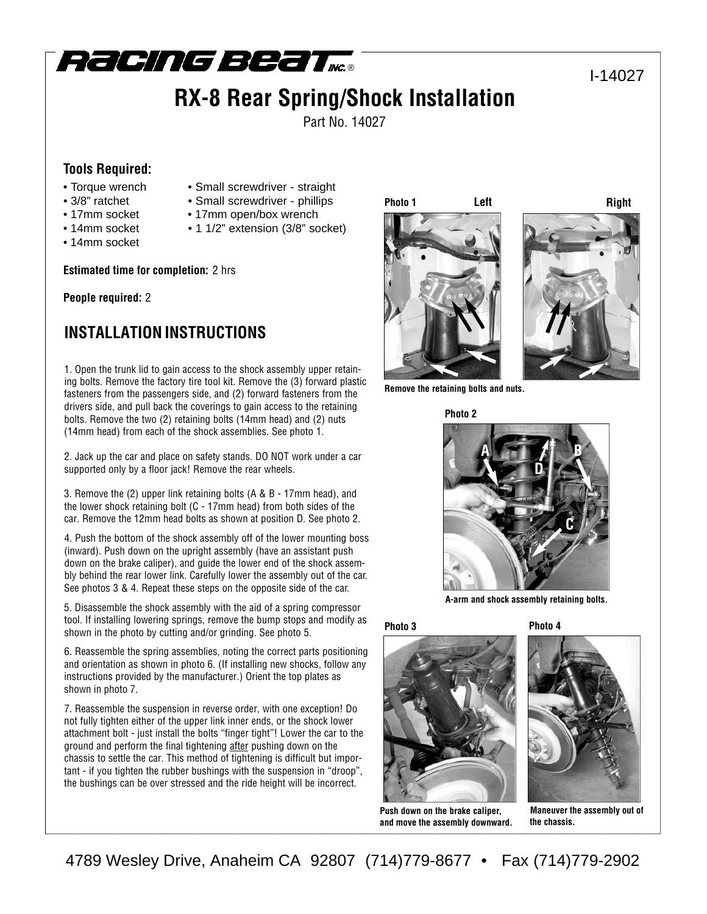

# **RX-8 Rear Spring/Shock Installation**

Part No. 14027

### **Tools Required:**

- Torque wrench Small screwdriver straight
- 
- 3/8" ratchet Small screwdriver phillips
	-
- 
- 
- 
- 
- 
- 
- 
- 
- 14mm socket
- 17mm socket 17mm open/box wrench
- 14mm socket 1 1/2" extension (3/8" socket)

**Estimated time for completion:** 2 hrs

### **People required:** 2

## **INSTALLATION INSTRUCTIONS**

1. Open the trunk lid to gain access to the shock assembly upper retaining bolts. Remove the factory tire tool kit. Remove the (3) forward plastic fasteners from the passengers side, and (2) forward fasteners from the drivers side, and pull back the coverings to gain access to the retaining bolts. Remove the two (2) retaining bolts (14mm head) and (2) nuts (14mm head) from each of the shock assemblies. See photo 1.

2. Jack up the car and place on safety stands. DO NOT work under a car supported only by a floor jack! Remove the rear wheels.

3. Remove the (2) upper link retaining bolts (A & B - 17mm head), and the lower shock retaining bolt (C - 17mm head) from both sides of the car. Remove the 12mm head bolts as shown at position D. See photo 2.

4. Push the bottom of the shock assembly off of the lower mounting boss (inward). Push down on the upright assembly (have an assistant push down on the brake caliper), and guide the lower end of the shock assembly behind the rear lower link. Carefully lower the assembly out of the car. See photos 3 & 4. Repeat these steps on the opposite side of the car.

5. Disassemble the shock assembly with the aid of a spring compressor tool. If installing lowering springs, remove the bump stops and modify as shown in the photo by cutting and/or grinding. See photo 5.

6. Reassemble the spring assemblies, noting the correct parts positioning and orientation as shown in photo 6. (If installing new shocks, follow any instructions provided by the manufacturer.) Orient the top plates as shown in photo 7.

7. Reassemble the suspension in reverse order, with one exception! Do not fully tighten either of the upper link inner ends, or the shock lower attachment bolt - just install the bolts "finger tight"! Lower the car to the ground and perform the final tightening after pushing down on the chassis to settle the car. This method of tightening is difficult but important - if you tighten the rubber bushings with the suspension in "droop", the bushings can be over stressed and the ride height will be incorrect.

**Photo 1**



I-14027



**Remove the retaining bolts and nuts.**



**A-arm and shock assembly retaining bolts.**

**Photo 3 Photo 4**



**Push down on the brake caliper, and move the assembly downward.**



**Maneuver the assembly out of the chassis.**